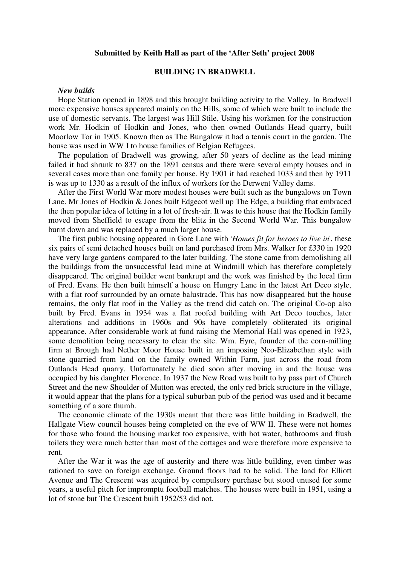## **Submitted by Keith Hall as part of the 'After Seth' project 2008**

# **BUILDING IN BRADWELL**

#### *New builds*

Hope Station opened in 1898 and this brought building activity to the Valley. In Bradwell more expensive houses appeared mainly on the Hills, some of which were built to include the use of domestic servants. The largest was Hill Stile. Using his workmen for the construction work Mr. Hodkin of Hodkin and Jones, who then owned Outlands Head quarry, built Moorlow Tor in 1905. Known then as The Bungalow it had a tennis court in the garden. The house was used in WW I to house families of Belgian Refugees.

The population of Bradwell was growing, after 50 years of decline as the lead mining failed it had shrunk to 837 on the 1891 census and there were several empty houses and in several cases more than one family per house. By 1901 it had reached 1033 and then by 1911 is was up to 1330 as a result of the influx of workers for the Derwent Valley dams.

After the First World War more modest houses were built such as the bungalows on Town Lane. Mr Jones of Hodkin & Jones built Edgecot well up The Edge, a building that embraced the then popular idea of letting in a lot of fresh-air. It was to this house that the Hodkin family moved from Sheffield to escape from the blitz in the Second World War. This bungalow burnt down and was replaced by a much larger house.

The first public housing appeared in Gore Lane with *'Homes fit for heroes to live in*', these six pairs of semi detached houses built on land purchased from Mrs. Walker for £330 in 1920 have very large gardens compared to the later building. The stone came from demolishing all the buildings from the unsuccessful lead mine at Windmill which has therefore completely disappeared. The original builder went bankrupt and the work was finished by the local firm of Fred. Evans. He then built himself a house on Hungry Lane in the latest Art Deco style, with a flat roof surrounded by an ornate balustrade. This has now disappeared but the house remains, the only flat roof in the Valley as the trend did catch on. The original Co-op also built by Fred. Evans in 1934 was a flat roofed building with Art Deco touches, later alterations and additions in 1960s and 90s have completely obliterated its original appearance. After considerable work at fund raising the Memorial Hall was opened in 1923, some demolition being necessary to clear the site. Wm. Eyre, founder of the corn-milling firm at Brough had Nether Moor House built in an imposing Neo-Elizabethan style with stone quarried from land on the family owned Within Farm, just across the road from Outlands Head quarry. Unfortunately he died soon after moving in and the house was occupied by his daughter Florence. In 1937 the New Road was built to by pass part of Church Street and the new Shoulder of Mutton was erected, the only red brick structure in the village, it would appear that the plans for a typical suburban pub of the period was used and it became something of a sore thumb.

The economic climate of the 1930s meant that there was little building in Bradwell, the Hallgate View council houses being completed on the eve of WW II. These were not homes for those who found the housing market too expensive, with hot water, bathrooms and flush toilets they were much better than most of the cottages and were therefore more expensive to rent.

After the War it was the age of austerity and there was little building, even timber was rationed to save on foreign exchange. Ground floors had to be solid. The land for Elliott Avenue and The Crescent was acquired by compulsory purchase but stood unused for some years, a useful pitch for impromptu football matches. The houses were built in 1951, using a lot of stone but The Crescent built 1952/53 did not.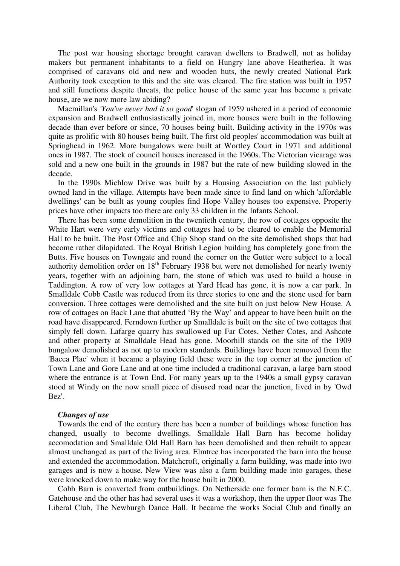The post war housing shortage brought caravan dwellers to Bradwell, not as holiday makers but permanent inhabitants to a field on Hungry lane above Heatherlea. It was comprised of caravans old and new and wooden huts, the newly created National Park Authority took exception to this and the site was cleared. The fire station was built in 1957 and still functions despite threats, the police house of the same year has become a private house, are we now more law abiding?

Macmillan's *'You've never had it so good*' slogan of 1959 ushered in a period of economic expansion and Bradwell enthusiastically joined in, more houses were built in the following decade than ever before or since, 70 houses being built. Building activity in the 1970s was quite as prolific with 80 houses being built. The first old peoples' accommodation was built at Springhead in 1962. More bungalows were built at Wortley Court in 1971 and additional ones in 1987. The stock of council houses increased in the 1960s. The Victorian vicarage was sold and a new one built in the grounds in 1987 but the rate of new building slowed in the decade.

In the 1990s Michlow Drive was built by a Housing Association on the last publicly owned land in the village. Attempts have been made since to find land on which 'affordable dwellings' can be built as young couples find Hope Valley houses too expensive. Property prices have other impacts too there are only 33 children in the Infants School.

There has been some demolition in the twentieth century, the row of cottages opposite the White Hart were very early victims and cottages had to be cleared to enable the Memorial Hall to be built. The Post Office and Chip Shop stand on the site demolished shops that had become rather dilapidated. The Royal British Legion building has completely gone from the Butts. Five houses on Towngate and round the corner on the Gutter were subject to a local authority demolition order on  $18<sup>th</sup>$  February 1938 but were not demolished for nearly twenty years, together with an adjoining barn, the stone of which was used to build a house in Taddington. A row of very low cottages at Yard Head has gone, it is now a car park. In Smalldale Cobb Castle was reduced from its three stories to one and the stone used for barn conversion. Three cottages were demolished and the site built on just below New House. A row of cottages on Back Lane that abutted 'By the Way' and appear to have been built on the road have disappeared. Ferndown further up Smalldale is built on the site of two cottages that simply fell down. Lafarge quarry has swallowed up Far Cotes, Nether Cotes, and Ashcote and other property at Smalldale Head has gone. Moorhill stands on the site of the 1909 bungalow demolished as not up to modern standards. Buildings have been removed from the 'Bacca Plac' when it became a playing field these were in the top corner at the junction of Town Lane and Gore Lane and at one time included a traditional caravan, a large barn stood where the entrance is at Town End. For many years up to the 1940s a small gypsy caravan stood at Windy on the now small piece of disused road near the junction, lived in by 'Owd Bez'.

# *Changes of use*

Towards the end of the century there has been a number of buildings whose function has changed, usually to become dwellings. Smalldale Hall Barn has become holiday accomodation and Smalldale Old Hall Barn has been demolished and then rebuilt to appear almost unchanged as part of the living area. Elmtree has incorporated the barn into the house and extended the accommodation. Matchcroft, originally a farm building, was made into two garages and is now a house. New View was also a farm building made into garages, these were knocked down to make way for the house built in 2000.

Cobb Barn is converted from outbuildings. On Netherside one former barn is the N.E.C. Gatehouse and the other has had several uses it was a workshop, then the upper floor was The Liberal Club, The Newburgh Dance Hall. It became the works Social Club and finally an